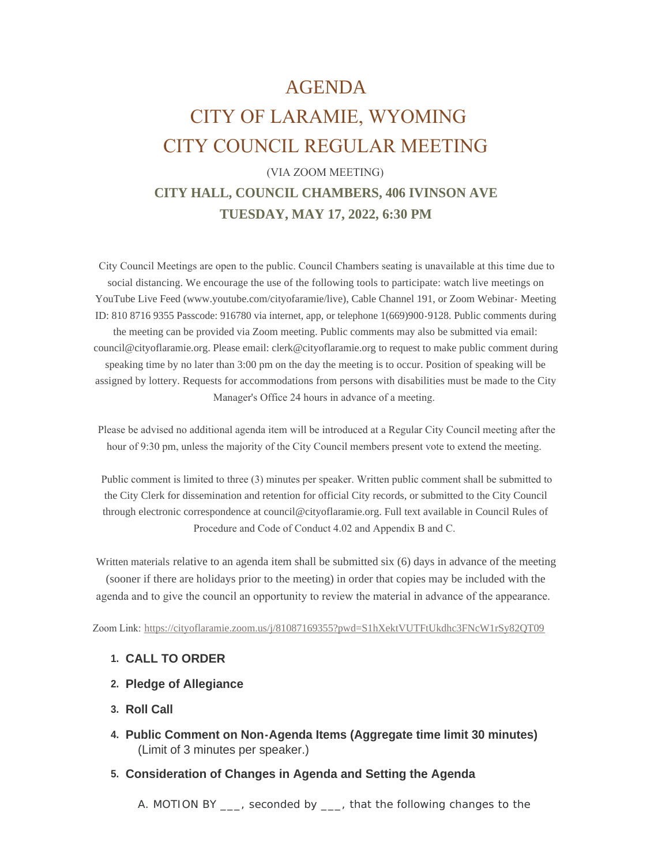# AGENDA

# CITY OF LARAMIE, WYOMING CITY COUNCIL REGULAR MEETING

# (VIA ZOOM MEETING) **CITY HALL, COUNCIL CHAMBERS, 406 IVINSON AVE TUESDAY, MAY 17, 2022, 6:30 PM**

 City Council Meetings are open to the public. Council Chambers seating is unavailable at this time due to social distancing. We encourage the use of the following tools to participate: watch live meetings on YouTube Live Feed (www.youtube.com/cityofaramie/live), Cable Channel 191, or Zoom Webinar- Meeting ID: 810 8716 9355 Passcode: 916780 via internet, app, or telephone 1(669)900-9128. Public comments during the meeting can be provided via Zoom meeting. Public comments may also be submitted via email: council@cityoflaramie.org. Please email: clerk@cityoflaramie.org to request to make public comment during speaking time by no later than 3:00 pm on the day the meeting is to occur. Position of speaking will be assigned by lottery. Requests for accommodations from persons with disabilities must be made to the City Manager's Office 24 hours in advance of a meeting.

 Please be advised no additional agenda item will be introduced at a Regular City Council meeting after the hour of 9:30 pm, unless the majority of the City Council members present vote to extend the meeting.

 Public comment is limited to three (3) minutes per speaker. Written public comment shall be submitted to the City Clerk for dissemination and retention for official City records, or submitted to the City Council through electronic correspondence at council@cityoflaramie.org. Full text available in Council Rules of Procedure and Code of Conduct 4.02 and Appendix B and C.

Written materials relative to an agenda item shall be submitted six (6) days in advance of the meeting (sooner if there are holidays prior to the meeting) in order that copies may be included with the agenda and to give the council an opportunity to review the material in advance of the appearance.

Zoom Link: <https://cityoflaramie.zoom.us/j/81087169355?pwd=S1hXektVUTFtUkdhc3FNcW1rSy82QT09>

#### **CALL TO ORDER 1.**

- **Pledge of Allegiance 2.**
- **Roll Call 3.**
- **Public Comment on Non-Agenda Items (Aggregate time limit 30 minutes) 4.** (Limit of 3 minutes per speaker.)

#### **Consideration of Changes in Agenda and Setting the Agenda 5.**

A. MOTION BY \_\_\_, seconded by \_\_\_, that the following changes to the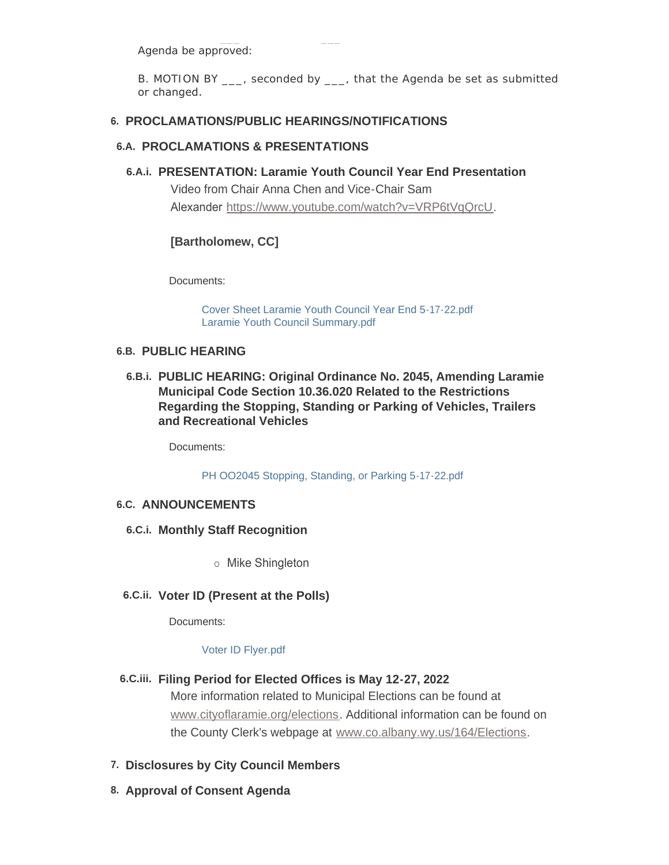Agenda be approved:

B. MOTION BY \_\_\_, seconded by \_\_\_, that the Agenda be set as submitted or changed.

## **PROCLAMATIONS/PUBLIC HEARINGS/NOTIFICATIONS 6.**

## **PROCLAMATIONS & PRESENTATIONS 6.A.**

**PRESENTATION: Laramie Youth Council Year End Presentation 6.A.i.**

Video from Chair Anna Chen and Vice-Chair Sam Alexander <https://www.youtube.com/watch?v=VRP6tVqQrcU>.

## **[Bartholomew, CC]**

Documents:

[Cover Sheet Laramie Youth Council Year End 5-17-22.pdf](https://cityoflaramie.org/AgendaCenter/ViewFile/Item/12433?fileID=17059) [Laramie Youth Council Summary.pdf](https://cityoflaramie.org/AgendaCenter/ViewFile/Item/12433?fileID=17035)

## **PUBLIC HEARING 6.B.**

**PUBLIC HEARING: Original Ordinance No. 2045, Amending Laramie 6.B.i. Municipal Code Section 10.36.020 Related to the Restrictions Regarding the Stopping, Standing or Parking of Vehicles, Trailers and Recreational Vehicles**

Documents:

[PH OO2045 Stopping, Standing, or Parking 5-17-22.pdf](https://cityoflaramie.org/AgendaCenter/ViewFile/Item/12434?fileID=17036)

## **ANNOUNCEMENTS 6.C.**

- **Monthly Staff Recognition 6.C.i.**
	- o Mike Shingleton
- **Voter ID (Present at the Polls) 6.C.ii.**

Documents:

#### [Voter ID Flyer.pdf](https://cityoflaramie.org/AgendaCenter/ViewFile/Item/12435?fileID=17037)

**Filing Period for Elected Offices is May 12-27, 2022 6.C.iii.**

[More information related to Muni](https://www.cityoflaramie.org/elections)cipal Elections can be found at www.cityoflaramie.org/elections. Additional information can be found on the County Clerk's webpage at [www.co.albany.wy.us/164/Elections](https://www.co.albany.wy.us/164/Elections).

- **Disclosures by City Council Members 7.**
- **Approval of Consent Agenda 8.**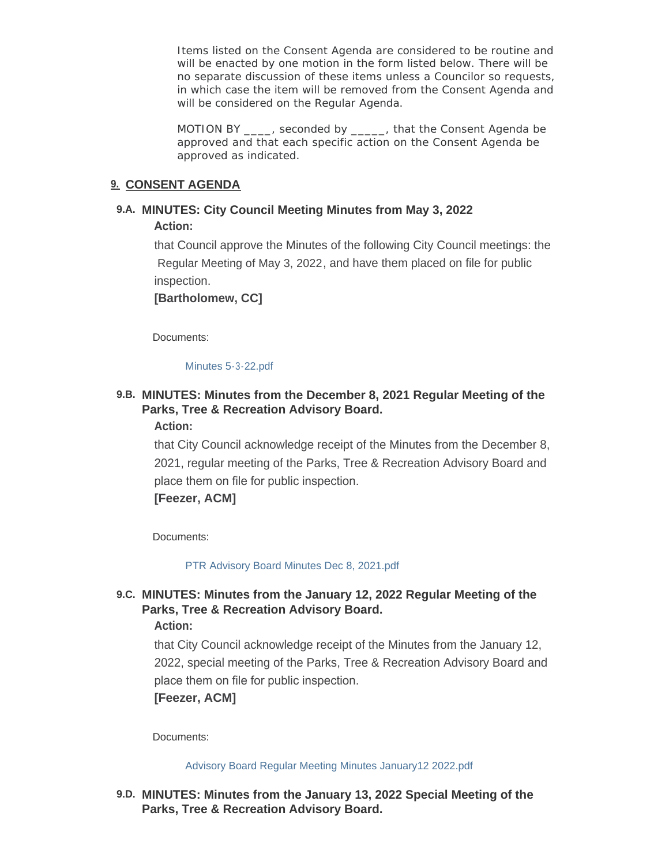Items listed on the Consent Agenda are considered to be routine and will be enacted by one motion in the form listed below. There will be no separate discussion of these items unless a Councilor so requests, in which case the item will be removed from the Consent Agenda and will be considered on the Regular Agenda.

MOTION BY disconded by that the Consent Agenda be approved and that each specific action on the Consent Agenda be approved as indicated.

## **CONSENT AGENDA 9.**

## **MINUTES: City Council Meeting Minutes from May 3, 2022 9.A. Action:**

that Council approve the Minutes of the following City Council meetings: the Regular Meeting of May 3, 2022, and have them placed on file for public inspection.

**[Bartholomew, CC]**

Documents:

[Minutes 5-3-22.pdf](https://cityoflaramie.org/AgendaCenter/ViewFile/Item/12451?fileID=17038)

## **MINUTES: Minutes from the December 8, 2021 Regular Meeting of the 9.B. Parks, Tree & Recreation Advisory Board. Action:**

that City Council acknowledge receipt of the Minutes from the December 8, 2021, regular meeting of the Parks, Tree & Recreation Advisory Board and place them on file for public inspection.

**[Feezer, ACM]**

Documents:

[PTR Advisory Board Minutes Dec 8, 2021.pdf](https://cityoflaramie.org/AgendaCenter/ViewFile/Item/12428?fileID=17021)

## **MINUTES: Minutes from the January 12, 2022 Regular Meeting of the 9.C. Parks, Tree & Recreation Advisory Board.**

**Action:**

that City Council acknowledge receipt of the Minutes from the January 12, 2022, special meeting of the Parks, Tree & Recreation Advisory Board and place them on file for public inspection.

**[Feezer, ACM]**

Documents:

[Advisory Board Regular Meeting Minutes January12 2022.pdf](https://cityoflaramie.org/AgendaCenter/ViewFile/Item/12468?fileID=17061)

**MINUTES: Minutes from the January 13, 2022 Special Meeting of the 9.D. Parks, Tree & Recreation Advisory Board.**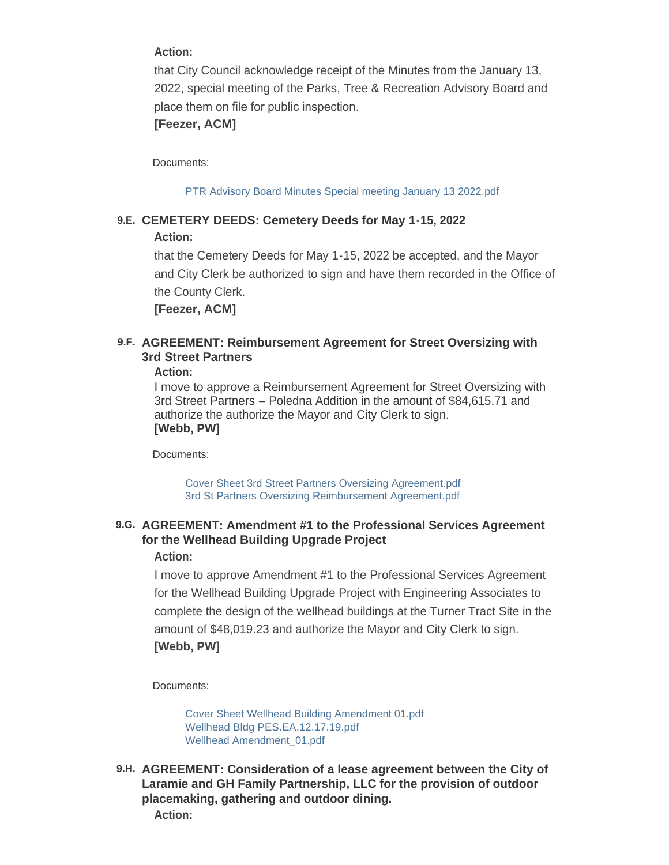## **Action:**

that City Council acknowledge receipt of the Minutes from the January 13, 2022, special meeting of the Parks, Tree & Recreation Advisory Board and place them on file for public inspection.

## **[Feezer, ACM]**

Documents:

[PTR Advisory Board Minutes Special meeting January 13 2022.pdf](https://cityoflaramie.org/AgendaCenter/ViewFile/Item/12429?fileID=17026)

## **CEMETERY DEEDS: Cemetery Deeds for May 1-15, 2022 9.E. Action:**

that the Cemetery Deeds for May 1-15, 2022 be accepted, and the Mayor and City Clerk be authorized to sign and have them recorded in the Office of the County Clerk.

**[Feezer, ACM]**

## **AGREEMENT: Reimbursement Agreement for Street Oversizing with 9.F. 3rd Street Partners**

#### **Action:**

I move to approve a Reimbursement Agreement for Street Oversizing with 3rd Street Partners – Poledna Addition in the amount of \$84,615.71 and authorize the authorize the Mayor and City Clerk to sign. **[Webb, PW]**

Documents:

[Cover Sheet 3rd Street Partners Oversizing Agreement.pdf](https://cityoflaramie.org/AgendaCenter/ViewFile/Item/12425?fileID=17009) [3rd St Partners Oversizing Reimbursement Agreement.pdf](https://cityoflaramie.org/AgendaCenter/ViewFile/Item/12425?fileID=17010)

## **AGREEMENT: Amendment #1 to the Professional Services Agreement 9.G. for the Wellhead Building Upgrade Project**

## **Action:**

I move to approve Amendment #1 to the Professional Services Agreement for the Wellhead Building Upgrade Project with Engineering Associates to complete the design of the wellhead buildings at the Turner Tract Site in the amount of \$48,019.23 and authorize the Mayor and City Clerk to sign. **[Webb, PW]**

Documents:

[Cover Sheet Wellhead Building Amendment 01.pdf](https://cityoflaramie.org/AgendaCenter/ViewFile/Item/12469?fileID=17066) [Wellhead Bldg PES.EA.12.17.19.pdf](https://cityoflaramie.org/AgendaCenter/ViewFile/Item/12469?fileID=17064) [Wellhead Amendment\\_01.pdf](https://cityoflaramie.org/AgendaCenter/ViewFile/Item/12469?fileID=17065)

**AGREEMENT: Consideration of a lease agreement between the City of 9.H. Laramie and GH Family Partnership, LLC for the provision of outdoor placemaking, gathering and outdoor dining. Action:**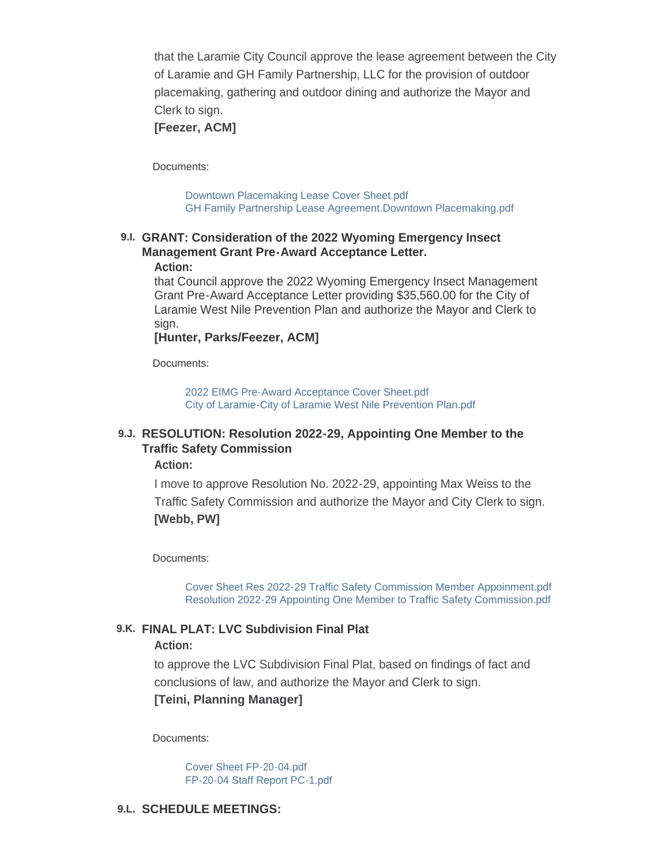that the Laramie City Council approve the lease agreement between the City of Laramie and GH Family Partnership, LLC for the provision of outdoor placemaking, gathering and outdoor dining and authorize the Mayor and Clerk to sign.

### **[Feezer, ACM]**

Documents:

[Downtown Placemaking Lease Cover Sheet.pdf](https://cityoflaramie.org/AgendaCenter/ViewFile/Item/12461?fileID=17043) [GH Family Partnership Lease Agreement.Downtown Placemaking.pdf](https://cityoflaramie.org/AgendaCenter/ViewFile/Item/12461?fileID=17060)

## **GRANT: Consideration of the 2022 Wyoming Emergency Insect 9.I. Management Grant Pre-Award Acceptance Letter.**

#### **Action:**

that Council approve the 2022 Wyoming Emergency Insect Management Grant Pre-Award Acceptance Letter providing \$35,560.00 for the City of Laramie West Nile Prevention Plan and authorize the Mayor and Clerk to sign.

#### **[Hunter, Parks/Feezer, ACM]**

Documents:

[2022 EIMG Pre-Award Acceptance Cover Sheet.pdf](https://cityoflaramie.org/AgendaCenter/ViewFile/Item/12431?fileID=17029) [City of Laramie-City of Laramie West Nile Prevention Plan.pdf](https://cityoflaramie.org/AgendaCenter/ViewFile/Item/12431?fileID=17028)

## **RESOLUTION: Resolution 2022-29, Appointing One Member to the 9.J. Traffic Safety Commission**

**Action:**

I move to approve Resolution No. 2022-29, appointing Max Weiss to the Traffic Safety Commission and authorize the Mayor and City Clerk to sign. **[Webb, PW]**

Documents:

[Cover Sheet Res 2022-29 Traffic Safety Commission Member Appoinment.pdf](https://cityoflaramie.org/AgendaCenter/ViewFile/Item/12424?fileID=17007) [Resolution 2022-29 Appointing One Member to Traffic Safety Commission.pdf](https://cityoflaramie.org/AgendaCenter/ViewFile/Item/12424?fileID=17008)

#### **FINAL PLAT: LVC Subdivision Final Plat 9.K.**

#### **Action:**

to approve the LVC Subdivision Final Plat, based on findings of fact and conclusions of law, and authorize the Mayor and Clerk to sign.

**[Teini, Planning Manager]**

Documents:

[Cover Sheet FP-20-04.pdf](https://cityoflaramie.org/AgendaCenter/ViewFile/Item/12466?fileID=17054) [FP-20-04 Staff Report PC-1.pdf](https://cityoflaramie.org/AgendaCenter/ViewFile/Item/12466?fileID=17055)

#### **SCHEDULE MEETINGS: 9.L.**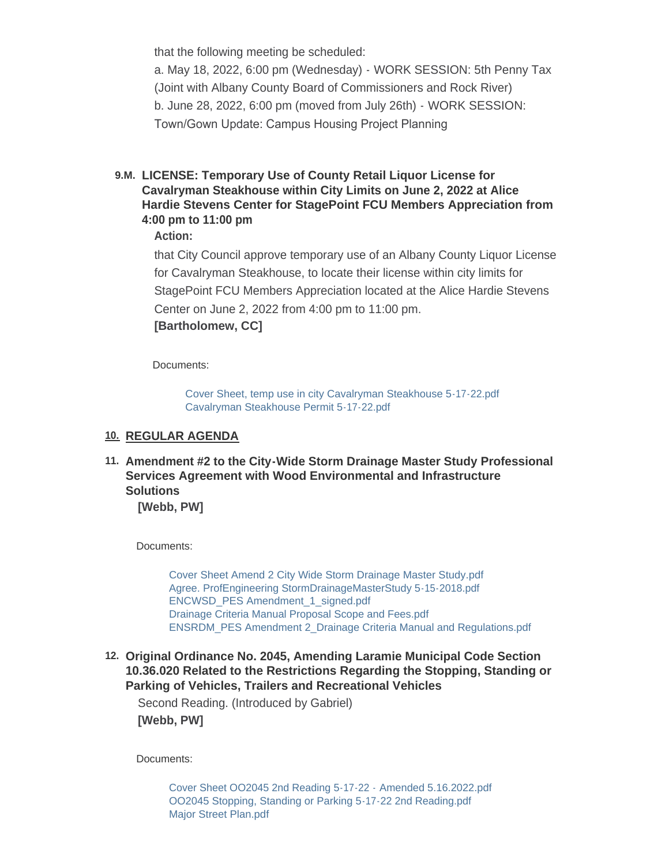that the following meeting be scheduled:

a. May 18, 2022, 6:00 pm (Wednesday) - WORK SESSION: 5th Penny Tax (Joint with Albany County Board of Commissioners and Rock River) b. June 28, 2022, 6:00 pm (moved from July 26th) - WORK SESSION: Town/Gown Update: Campus Housing Project Planning

**LICENSE: Temporary Use of County Retail Liquor License for 9.M. Cavalryman Steakhouse within City Limits on June 2, 2022 at Alice Hardie Stevens Center for StagePoint FCU Members Appreciation from 4:00 pm to 11:00 pm**

**Action:**

that City Council approve temporary use of an Albany County Liquor License for Cavalryman Steakhouse, to locate their license within city limits for StagePoint FCU Members Appreciation located at the Alice Hardie Stevens Center on June 2, 2022 from 4:00 pm to 11:00 pm. **[Bartholomew, CC]**

Documents:

[Cover Sheet, temp use in city Cavalryman Steakhouse 5-17-22.pdf](https://cityoflaramie.org/AgendaCenter/ViewFile/Item/12471?fileID=17069) [Cavalryman Steakhouse Permit 5-17-22.pdf](https://cityoflaramie.org/AgendaCenter/ViewFile/Item/12471?fileID=17068)

## **REGULAR AGENDA 10.**

**Amendment #2 to the City-Wide Storm Drainage Master Study Professional 11. Services Agreement with Wood Environmental and Infrastructure Solutions**

**[Webb, PW]**

Documents:

[Cover Sheet Amend 2 City Wide Storm Drainage Master Study.pdf](https://cityoflaramie.org/AgendaCenter/ViewFile/Item/12426?fileID=17011) [Agree. ProfEngineering StormDrainageMasterStudy 5-15-2018.pdf](https://cityoflaramie.org/AgendaCenter/ViewFile/Item/12426?fileID=17012) [ENCWSD\\_PES Amendment\\_1\\_signed.pdf](https://cityoflaramie.org/AgendaCenter/ViewFile/Item/12426?fileID=17013) [Drainage Criteria Manual Proposal Scope and Fees.pdf](https://cityoflaramie.org/AgendaCenter/ViewFile/Item/12426?fileID=17014) [ENSRDM\\_PES Amendment 2\\_Drainage Criteria Manual and Regulations.pdf](https://cityoflaramie.org/AgendaCenter/ViewFile/Item/12426?fileID=17015)

**Original Ordinance No. 2045, Amending Laramie Municipal Code Section 12. 10.36.020 Related to the Restrictions Regarding the Stopping, Standing or Parking of Vehicles, Trailers and Recreational Vehicles**

Second Reading. (Introduced by Gabriel) **[Webb, PW]**

Documents:

[Cover Sheet OO2045 2nd Reading 5-17-22 -](https://cityoflaramie.org/AgendaCenter/ViewFile/Item/12427?fileID=17067) Amended 5.16.2022.pdf [OO2045 Stopping, Standing or Parking 5-17-22 2nd Reading.pdf](https://cityoflaramie.org/AgendaCenter/ViewFile/Item/12427?fileID=17017) [Major Street Plan.pdf](https://cityoflaramie.org/AgendaCenter/ViewFile/Item/12427?fileID=17018)